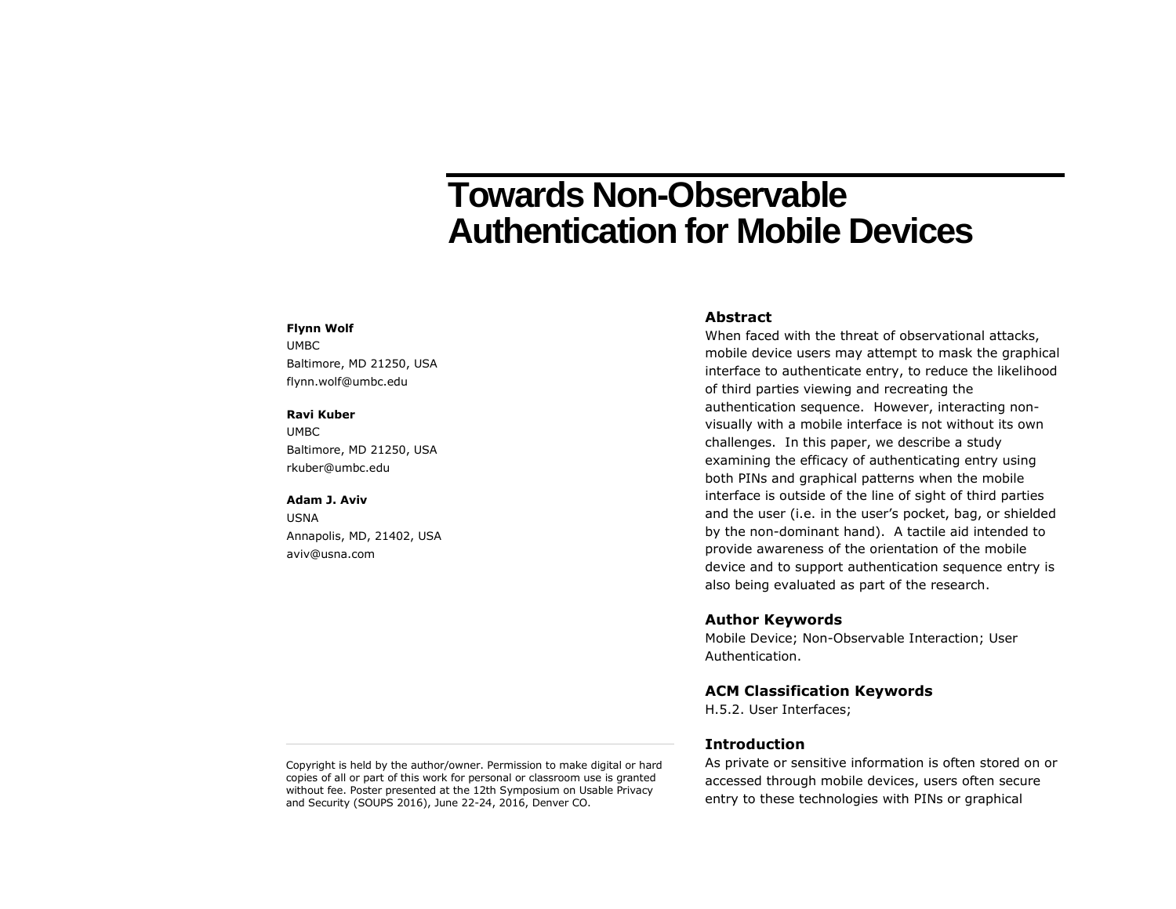# **Towards Non-Observable Authentication for Mobile Devices**

#### **Flynn Wolf**

UMBC Baltimore, MD 21250, USA flynn.wolf@umbc.edu

### **Ravi Kuber**

UMBC Baltimore, MD 21250, USA rkuber@umbc.edu

## **Adam J. Aviv**

USNA Annapolis, MD, 21402, USA aviv@usna.com

## **Abstract**

When faced with the threat of observational attacks, mobile device users may attempt to mask the graphical interface to authenticate entry, to reduce the likelihood of third parties viewing and recreating the authentication sequence. However, interacting nonvisually with a mobile interface is not without its own challenges. In this paper, we describe a study examining the efficacy of authenticating entry using both PINs and graphical patterns when the mobile interface is outside of the line of sight of third parties and the user (i.e. in the user's pocket, bag, or shielded by the non-dominant hand). A tactile aid intended to provide awareness of the orientation of the mobile device and to support authentication sequence entry is also being evaluated as part of the research.

## **Author Keywords**

Mobile Device; Non-Observable Interaction; User Authentication.

## **ACM Classification Keywords**

H.5.2. User Interfaces;

## **Introduction**

As private or sensitive information is often stored on or accessed through mobile devices, users often secure entry to these technologies with PINs or graphical

Copyright is held by the author/owner. Permission to make digital or hard copies of all or part of this work for personal or classroom use is granted without fee. Poster presented at the 12th Symposium on Usable Privacy and Security (SOUPS 2016), June 22-24, 2016, Denver CO.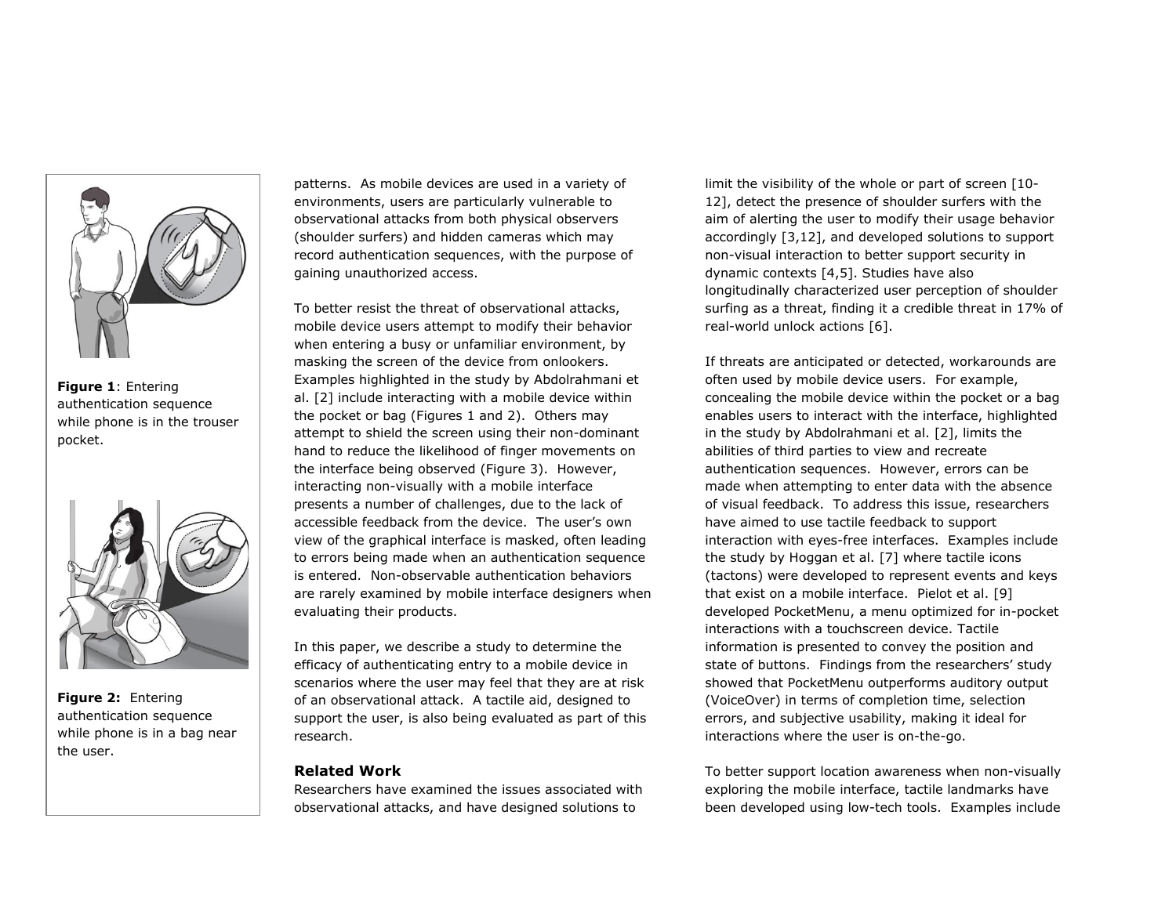

**Figure 1**: Entering authentication sequence while phone is in the trouser pocket.



**Figure 2:** Entering authentication sequence while phone is in a bag near the user.

patterns. As mobile devices are used in a variety of environments, users are particularly vulnerable to observational attacks from both physical observers (shoulder surfers) and hidden cameras which may record authentication sequences, with the purpose of gaining unauthorized access.

To better resist the threat of observational attacks, mobile device users attempt to modify their behavior when entering a busy or unfamiliar environment, by masking the screen of the device from onlookers. Examples highlighted in the study by Abdolrahmani et al. [2] include interacting with a mobile device within the pocket or bag (Figures 1 and 2). Others may attempt to shield the screen using their non-dominant hand to reduce the likelihood of finger movements on the interface being observed (Figure 3). However, interacting non-visually with a mobile interface presents a number of challenges, due to the lack of accessible feedback from the device. The user's own view of the graphical interface is masked, often leading to errors being made when an authentication sequence is entered. Non-observable authentication behaviors are rarely examined by mobile interface designers when evaluating their products.

In this paper, we describe a study to determine the efficacy of authenticating entry to a mobile device in scenarios where the user may feel that they are at risk of an observational attack. A tactile aid, designed to support the user, is also being evaluated as part of this research.

# **Related Work**

Researchers have examined the issues associated with observational attacks, and have designed solutions to

limit the visibility of the whole or part of screen [10- 12], detect the presence of shoulder surfers with the aim of alerting the user to modify their usage behavior accordingly [3,12], and developed solutions to support non-visual interaction to better support security in dynamic contexts [4,5]. Studies have also longitudinally characterized user perception of shoulder surfing as a threat, finding it a credible threat in 17% of real-world unlock actions [6].

If threats are anticipated or detected, workarounds are often used by mobile device users. For example, concealing the mobile device within the pocket or a bag enables users to interact with the interface, highlighted in the study by Abdolrahmani et al. [2], limits the abilities of third parties to view and recreate authentication sequences. However, errors can be made when attempting to enter data with the absence of visual feedback. To address this issue, researchers have aimed to use tactile feedback to support interaction with eyes-free interfaces. Examples include the study by Hoggan et al. [7] where tactile icons (tactons) were developed to represent events and keys that exist on a mobile interface. Pielot et al. [9] developed PocketMenu, a menu optimized for in-pocket interactions with a touchscreen device. Tactile information is presented to convey the position and state of buttons. Findings from the researchers' study showed that PocketMenu outperforms auditory output (VoiceOver) in terms of completion time, selection errors, and subjective usability, making it ideal for interactions where the user is on-the-go.

To better support location awareness when non-visually exploring the mobile interface, tactile landmarks have been developed using low-tech tools. Examples include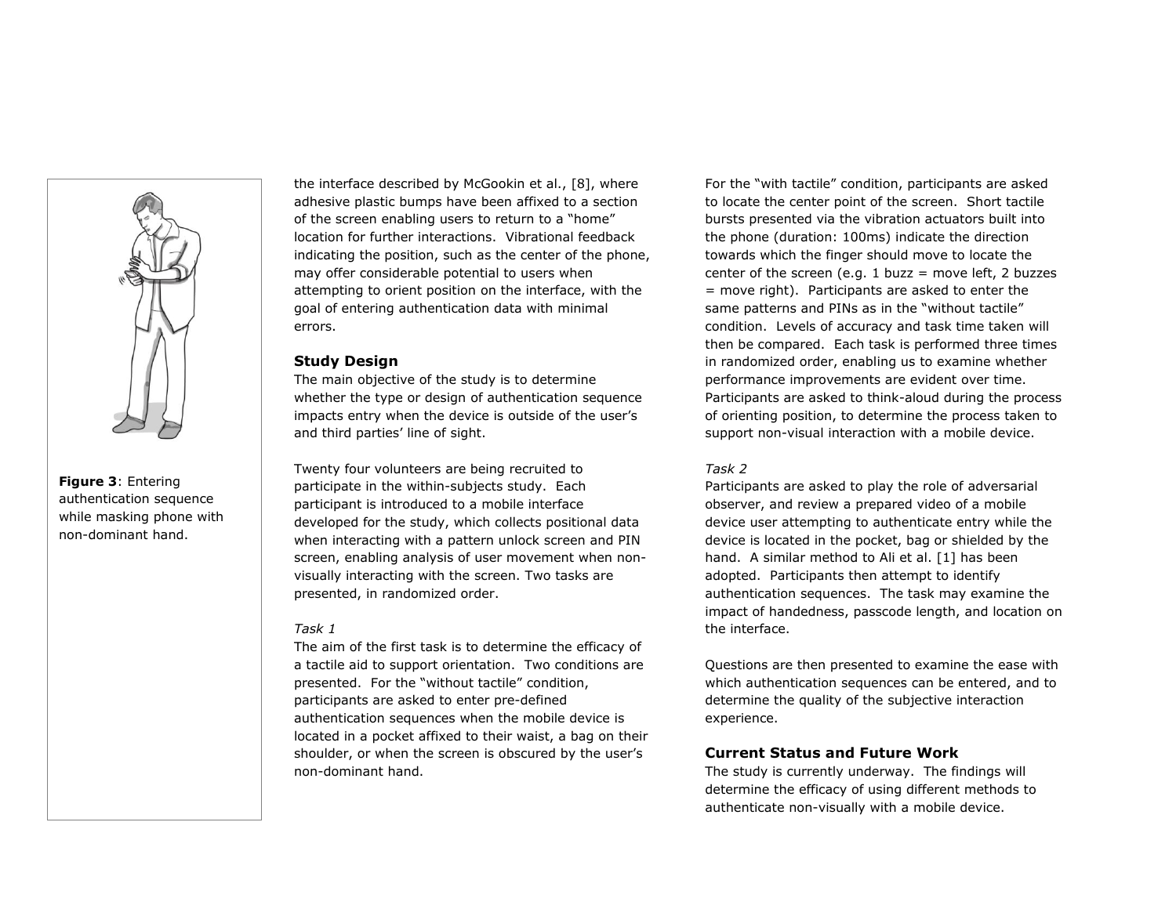

**Figure 3**: Entering authentication sequence while masking phone with non-dominant hand.

the interface described by McGookin et al., [8], where adhesive plastic bumps have been affixed to a section of the screen enabling users to return to a "home" location for further interactions. Vibrational feedback indicating the position, such as the center of the phone, may offer considerable potential to users when attempting to orient position on the interface, with the goal of entering authentication data with minimal errors.

## **Study Design**

The main objective of the study is to determine whether the type or design of authentication sequence impacts entry when the device is outside of the user's and third parties' line of sight.

Twenty four volunteers are being recruited to participate in the within-subjects study. Each participant is introduced to a mobile interface developed for the study, which collects positional data when interacting with a pattern unlock screen and PIN screen, enabling analysis of user movement when nonvisually interacting with the screen. Two tasks are presented, in randomized order.

## *Task 1*

The aim of the first task is to determine the efficacy of a tactile aid to support orientation. Two conditions are presented. For the "without tactile" condition, participants are asked to enter pre-defined authentication sequences when the mobile device is located in a pocket affixed to their waist, a bag on their shoulder, or when the screen is obscured by the user's non-dominant hand.

For the "with tactile" condition, participants are asked to locate the center point of the screen. Short tactile bursts presented via the vibration actuators built into the phone (duration: 100ms) indicate the direction towards which the finger should move to locate the center of the screen (e.g. 1 buzz = move left, 2 buzzes = move right). Participants are asked to enter the same patterns and PINs as in the "without tactile" condition. Levels of accuracy and task time taken will then be compared. Each task is performed three times in randomized order, enabling us to examine whether performance improvements are evident over time. Participants are asked to think-aloud during the process of orienting position, to determine the process taken to support non-visual interaction with a mobile device.

## *Task 2*

Participants are asked to play the role of adversarial observer, and review a prepared video of a mobile device user attempting to authenticate entry while the device is located in the pocket, bag or shielded by the hand. A similar method to Ali et al. [1] has been adopted. Participants then attempt to identify authentication sequences. The task may examine the impact of handedness, passcode length, and location on the interface.

Questions are then presented to examine the ease with which authentication sequences can be entered, and to determine the quality of the subjective interaction experience.

## **Current Status and Future Work**

The study is currently underway. The findings will determine the efficacy of using different methods to authenticate non-visually with a mobile device.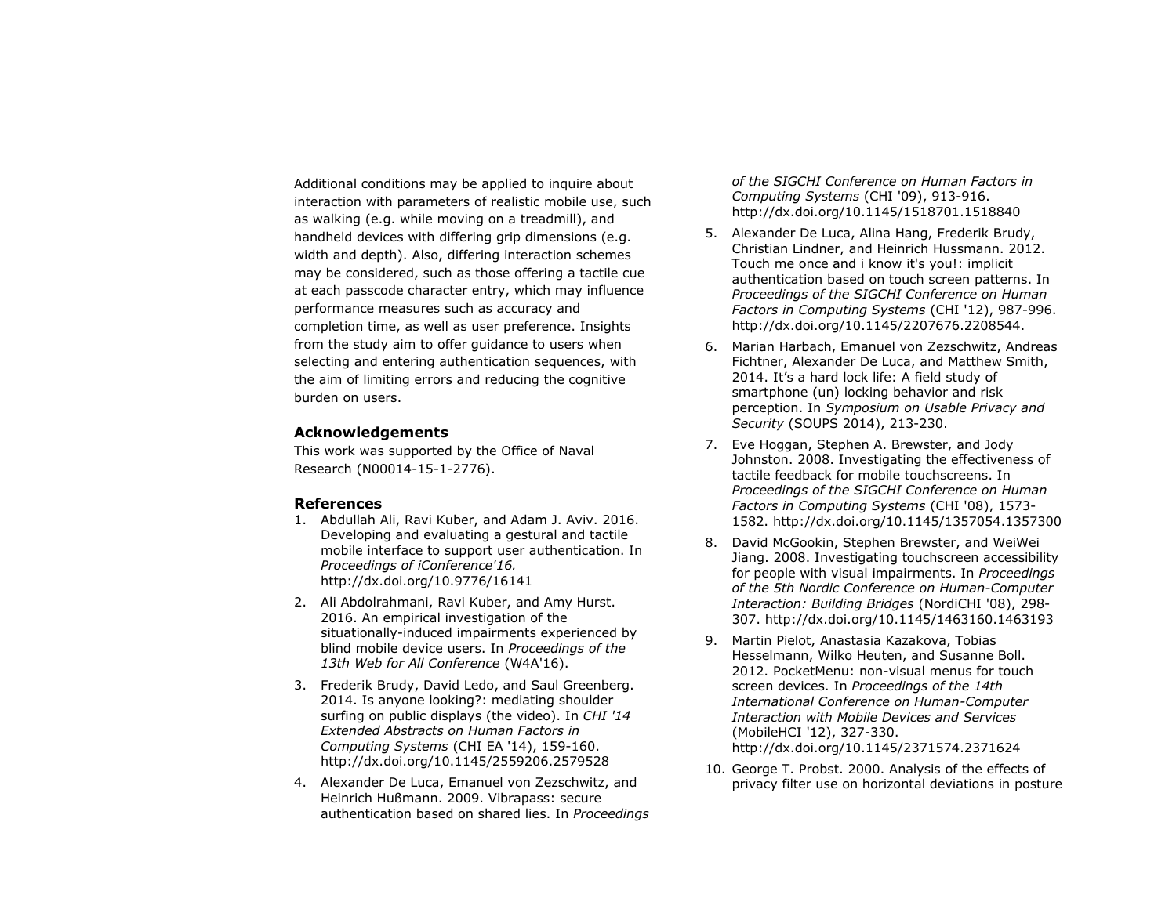Additional conditions may be applied to inquire about interaction with parameters of realistic mobile use, such as walking (e.g. while moving on a treadmill), and handheld devices with differing grip dimensions (e.g. width and depth). Also, differing interaction schemes may be considered, such as those offering a tactile cue at each passcode character entry, which may influence performance measures such as accuracy and completion time, as well as user preference. Insights from the study aim to offer guidance to users when selecting and entering authentication sequences, with the aim of limiting errors and reducing the cognitive burden on users.

## **Acknowledgements**

This work was supported by the Office of Naval Research (N00014-15-1-2776).

## **References**

- 1. Abdullah Ali, Ravi Kuber, and Adam J. Aviv. 2016. Developing and evaluating a gestural and tactile mobile interface to support user authentication. In *Proceedings of iConference'16.* http://dx.doi.org/10.9776/16141
- 2. Ali Abdolrahmani, Ravi Kuber, and Amy Hurst. 2016. An empirical investigation of the situationally-induced impairments experienced by blind mobile device users. In *Proceedings of the 13th Web for All Conference* (W4A'16).
- 3. Frederik Brudy, David Ledo, and Saul Greenberg. 2014. Is anyone looking?: mediating shoulder surfing on public displays (the video). In *CHI '14 Extended Abstracts on Human Factors in Computing Systems* (CHI EA '14), 159-160. http://dx.doi.org/10.1145/2559206.2579528
- 4. Alexander De Luca, Emanuel von Zezschwitz, and Heinrich Hußmann. 2009. Vibrapass: secure authentication based on shared lies. In *Proceedings*

*of the SIGCHI Conference on Human Factors in Computing Systems* (CHI '09), 913-916. http://dx.doi.org/10.1145/1518701.1518840

- 5. Alexander De Luca, Alina Hang, Frederik Brudy, Christian Lindner, and Heinrich Hussmann. 2012. Touch me once and i know it's you!: implicit authentication based on touch screen patterns. In *Proceedings of the SIGCHI Conference on Human Factors in Computing Systems* (CHI '12), 987-996. http://dx.doi.org/10.1145/2207676.2208544.
- 6. Marian Harbach, Emanuel von Zezschwitz, Andreas Fichtner, Alexander De Luca, and Matthew Smith, 2014. It's a hard lock life: A field study of smartphone (un) locking behavior and risk perception. In *Symposium on Usable Privacy and Security* (SOUPS 2014), 213-230.
- 7. Eve Hoggan, Stephen A. Brewster, and Jody Johnston. 2008. Investigating the effectiveness of tactile feedback for mobile touchscreens. In *Proceedings of the SIGCHI Conference on Human Factors in Computing Systems* (CHI '08), 1573- 1582. http://dx.doi.org/10.1145/1357054.1357300
- 8. David McGookin, Stephen Brewster, and WeiWei Jiang. 2008. Investigating touchscreen accessibility for people with visual impairments. In *Proceedings of the 5th Nordic Conference on Human-Computer Interaction: Building Bridges* (NordiCHI '08), 298- 307. http://dx.doi.org/10.1145/1463160.1463193
- 9. Martin Pielot, Anastasia Kazakova, Tobias Hesselmann, Wilko Heuten, and Susanne Boll. 2012. PocketMenu: non-visual menus for touch screen devices. In *Proceedings of the 14th International Conference on Human-Computer Interaction with Mobile Devices and Services* (MobileHCI '12), 327-330. http://dx.doi.org/10.1145/2371574.2371624
- 10. George T. Probst. 2000. Analysis of the effects of privacy filter use on horizontal deviations in posture